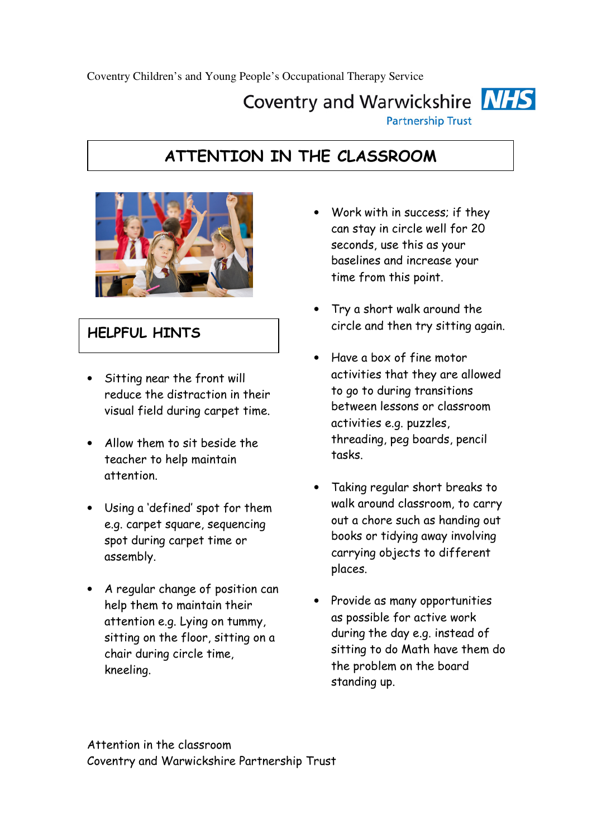# Coventry and Warwickshire **NHS**

**Partnership Trust** 

## ATTENTION IN THE CLASSROOM



### HELPFUL HINTS

- Sitting near the front will reduce the distraction in their visual field during carpet time.
- Allow them to sit beside the teacher to help maintain attention.
- Using a 'defined' spot for them e.g. carpet square, sequencing spot during carpet time or assembly.
- A regular change of position can help them to maintain their attention e.g. Lying on tummy, sitting on the floor, sitting on a chair during circle time, kneeling.
- Work with in success; if they can stay in circle well for 20 seconds, use this as your baselines and increase your time from this point.
- Try a short walk around the circle and then try sitting again.
- Have a box of fine motor activities that they are allowed to go to during transitions between lessons or classroom activities e.g. puzzles, threading, peg boards, pencil tasks.
- Taking regular short breaks to walk around classroom, to carry out a chore such as handing out books or tidying away involving carrying objects to different places.
- Provide as many opportunities as possible for active work during the day e.g. instead of sitting to do Math have them do the problem on the board standing up.

Attention in the classroom Coventry and Warwickshire Partnership Trust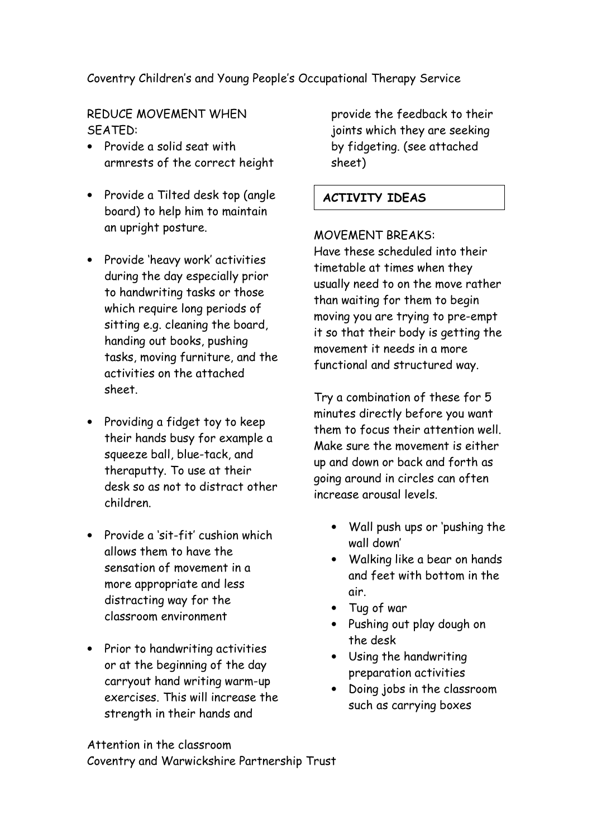#### Coventry Children's and Young People's Occupational Therapy Service

REDUCE MOVEMENT WHEN SEATED:

- Provide a solid seat with armrests of the correct height
- Provide a Tilted desk top (angle board) to help him to maintain an upright posture.
- Provide 'heavy work' activities during the day especially prior to handwriting tasks or those which require long periods of sitting e.g. cleaning the board, handing out books, pushing tasks, moving furniture, and the activities on the attached sheet.
- Providing a fidget toy to keep their hands busy for example a squeeze ball, blue-tack, and theraputty. To use at their desk so as not to distract other children.
- Provide a 'sit-fit' cushion which allows them to have the sensation of movement in a more appropriate and less distracting way for the classroom environment
- Prior to handwriting activities or at the beginning of the day carryout hand writing warm-up exercises. This will increase the strength in their hands and

provide the feedback to their joints which they are seeking by fidgeting. (see attached sheet)

#### ACTIVITY IDEAS

#### MOVEMENT BREAKS:

Have these scheduled into their timetable at times when they usually need to on the move rather than waiting for them to begin moving you are trying to pre-empt it so that their body is getting the movement it needs in a more functional and structured way.

Try a combination of these for 5 minutes directly before you want them to focus their attention well. Make sure the movement is either up and down or back and forth as going around in circles can often increase arousal levels.

- Wall push ups or 'pushing the wall down'
- Walking like a bear on hands and feet with bottom in the air.
- Tug of war
- Pushing out play dough on the desk
- Using the handwriting preparation activities
- Doing jobs in the classroom such as carrying boxes

Attention in the classroom Coventry and Warwickshire Partnership Trust